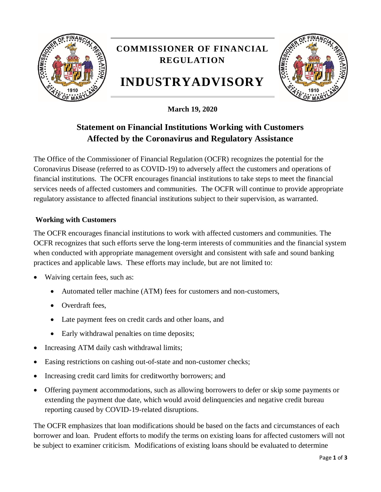

**March 19, 2020**

# **Statement on Financial Institutions Working with Customers Affected by the Coronavirus and Regulatory Assistance**

The Office of the Commissioner of Financial Regulation (OCFR) recognizes the potential for the Coronavirus Disease (referred to as COVID-19) to adversely affect the customers and operations of financial institutions. The OCFR encourages financial institutions to take steps to meet the financial services needs of affected customers and communities. The OCFR will continue to provide appropriate regulatory assistance to affected financial institutions subject to their supervision, as warranted.

## **Working with Customers**

The OCFR encourages financial institutions to work with affected customers and communities. The OCFR recognizes that such efforts serve the long-term interests of communities and the financial system when conducted with appropriate management oversight and consistent with safe and sound banking practices and applicable laws. These efforts may include, but are not limited to:

- Waiving certain fees, such as:
	- Automated teller machine (ATM) fees for customers and non-customers,
	- Overdraft fees,
	- Late payment fees on credit cards and other loans, and
	- Early withdrawal penalties on time deposits;
- Increasing ATM daily cash withdrawal limits;
- Easing restrictions on cashing out-of-state and non-customer checks;
- Increasing credit card limits for creditworthy borrowers; and
- Offering payment accommodations, such as allowing borrowers to defer or skip some payments or extending the payment due date, which would avoid delinquencies and negative credit bureau reporting caused by COVID-19-related disruptions.

The OCFR emphasizes that loan modifications should be based on the facts and circumstances of each borrower and loan. Prudent efforts to modify the terms on existing loans for affected customers will not be subject to examiner criticism. Modifications of existing loans should be evaluated to determine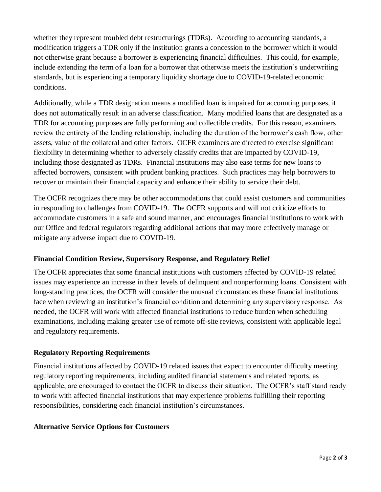whether they represent troubled debt restructurings (TDRs). According to accounting standards, a modification triggers a TDR only if the institution grants a concession to the borrower which it would not otherwise grant because a borrower is experiencing financial difficulties. This could, for example, include extending the term of a loan for a borrower that otherwise meets the institution's underwriting standards, but is experiencing a temporary liquidity shortage due to COVID-19-related economic conditions.

Additionally, while a TDR designation means a modified loan is impaired for accounting purposes, it does not automatically result in an adverse classification. Many modified loans that are designated as a TDR for accounting purposes are fully performing and collectible credits. For this reason, examiners review the entirety of the lending relationship, including the duration of the borrower's cash flow, other assets, value of the collateral and other factors. OCFR examiners are directed to exercise significant flexibility in determining whether to adversely classify credits that are impacted by COVID-19, including those designated as TDRs. Financial institutions may also ease terms for new loans to affected borrowers, consistent with prudent banking practices. Such practices may help borrowers to recover or maintain their financial capacity and enhance their ability to service their debt.

The OCFR recognizes there may be other accommodations that could assist customers and communities in responding to challenges from COVID-19. The OCFR supports and will not criticize efforts to accommodate customers in a safe and sound manner, and encourages financial institutions to work with our Office and federal regulators regarding additional actions that may more effectively manage or mitigate any adverse impact due to COVID-19.

## **Financial Condition Review, Supervisory Response, and Regulatory Relief**

The OCFR appreciates that some financial institutions with customers affected by COVID-19 related issues may experience an increase in their levels of delinquent and nonperforming loans. Consistent with long-standing practices, the OCFR will consider the unusual circumstances these financial institutions face when reviewing an institution's financial condition and determining any supervisory response. As needed, the OCFR will work with affected financial institutions to reduce burden when scheduling examinations, including making greater use of remote off-site reviews, consistent with applicable legal and regulatory requirements.

#### **Regulatory Reporting Requirements**

Financial institutions affected by COVID-19 related issues that expect to encounter difficulty meeting regulatory reporting requirements, including audited financial statements and related reports, as applicable, are encouraged to contact the OCFR to discuss their situation. The OCFR's staff stand ready to work with affected financial institutions that may experience problems fulfilling their reporting responsibilities, considering each financial institution's circumstances.

#### **Alternative Service Options for Customers**